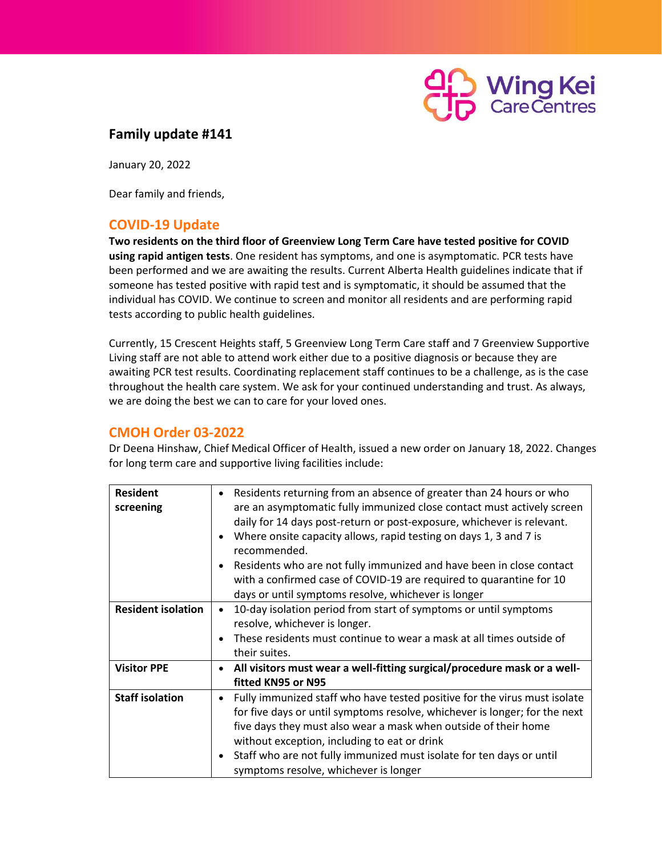

## **Family update #141**

January 20, 2022

Dear family and friends,

## **COVID-19 Update**

**Two residents on the third floor of Greenview Long Term Care have tested positive for COVID using rapid antigen tests**. One resident has symptoms, and one is asymptomatic. PCR tests have been performed and we are awaiting the results. Current Alberta Health guidelines indicate that if someone has tested positive with rapid test and is symptomatic, it should be assumed that the individual has COVID. We continue to screen and monitor all residents and are performing rapid tests according to public health guidelines.

Currently, 15 Crescent Heights staff, 5 Greenview Long Term Care staff and 7 Greenview Supportive Living staff are not able to attend work either due to a positive diagnosis or because they are awaiting PCR test results. Coordinating replacement staff continues to be a challenge, as is the case throughout the health care system. We ask for your continued understanding and trust. As always, we are doing the best we can to care for your loved ones.

### **CMOH Order 03-2022**

Dr Deena Hinshaw, Chief Medical Officer of Health, issued a new order on January 18, 2022. Changes for long term care and supportive living facilities include:

| <b>Resident</b>                                                 | Residents returning from an absence of greater than 24 hours or who                    |  |  |  |
|-----------------------------------------------------------------|----------------------------------------------------------------------------------------|--|--|--|
| screening                                                       | are an asymptomatic fully immunized close contact must actively screen                 |  |  |  |
|                                                                 | daily for 14 days post-return or post-exposure, whichever is relevant.                 |  |  |  |
|                                                                 | Where onsite capacity allows, rapid testing on days 1, 3 and 7 is<br>$\bullet$         |  |  |  |
|                                                                 | recommended.                                                                           |  |  |  |
|                                                                 | Residents who are not fully immunized and have been in close contact<br>$\bullet$      |  |  |  |
|                                                                 | with a confirmed case of COVID-19 are required to quarantine for 10                    |  |  |  |
|                                                                 | days or until symptoms resolve, whichever is longer                                    |  |  |  |
| <b>Resident isolation</b>                                       | 10-day isolation period from start of symptoms or until symptoms<br>$\bullet$          |  |  |  |
|                                                                 | resolve, whichever is longer.                                                          |  |  |  |
|                                                                 | These residents must continue to wear a mask at all times outside of<br>$\bullet$      |  |  |  |
|                                                                 | their suites.                                                                          |  |  |  |
| <b>Visitor PPE</b>                                              | All visitors must wear a well-fitting surgical/procedure mask or a well-<br>$\bullet$  |  |  |  |
|                                                                 | fitted KN95 or N95                                                                     |  |  |  |
| <b>Staff isolation</b>                                          | Fully immunized staff who have tested positive for the virus must isolate<br>$\bullet$ |  |  |  |
|                                                                 | for five days or until symptoms resolve, whichever is longer; for the next             |  |  |  |
| five days they must also wear a mask when outside of their home |                                                                                        |  |  |  |
|                                                                 | without exception, including to eat or drink                                           |  |  |  |
|                                                                 | Staff who are not fully immunized must isolate for ten days or until<br>$\bullet$      |  |  |  |
|                                                                 | symptoms resolve, whichever is longer                                                  |  |  |  |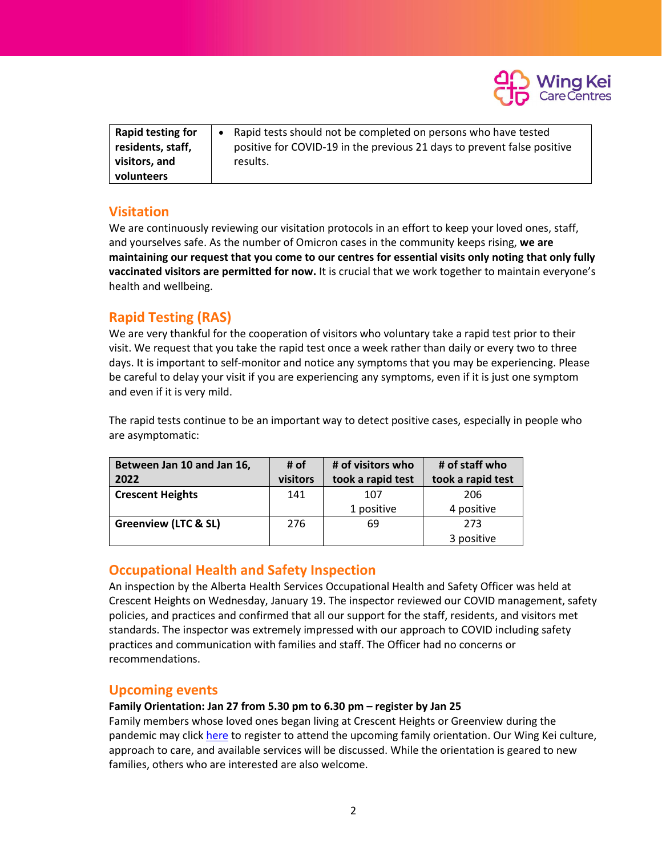

| <b>Rapid testing for</b> | • Rapid tests should not be completed on persons who have tested        |
|--------------------------|-------------------------------------------------------------------------|
| residents, staff,        | positive for COVID-19 in the previous 21 days to prevent false positive |
| visitors, and            | results.                                                                |
| volunteers               |                                                                         |

## **Visitation**

We are continuously reviewing our visitation protocols in an effort to keep your loved ones, staff, and yourselves safe. As the number of Omicron cases in the community keeps rising, **we are maintaining our request that you come to our centres for essential visits only noting that only fully vaccinated visitors are permitted for now.** It is crucial that we work together to maintain everyone's health and wellbeing.

# **Rapid Testing (RAS)**

We are very thankful for the cooperation of visitors who voluntary take a rapid test prior to their visit. We request that you take the rapid test once a week rather than daily or every two to three days. It is important to self-monitor and notice any symptoms that you may be experiencing. Please be careful to delay your visit if you are experiencing any symptoms, even if it is just one symptom and even if it is very mild.

The rapid tests continue to be an important way to detect positive cases, especially in people who are asymptomatic:

| Between Jan 10 and Jan 16,      | # of     | # of visitors who | # of staff who    |
|---------------------------------|----------|-------------------|-------------------|
| 2022                            | visitors | took a rapid test | took a rapid test |
| <b>Crescent Heights</b>         | 141      | 107               | 206               |
|                                 |          | 1 positive        | 4 positive        |
| <b>Greenview (LTC &amp; SL)</b> | 276      | 69                | 273               |
|                                 |          |                   | 3 positive        |

### **Occupational Health and Safety Inspection**

An inspection by the Alberta Health Services Occupational Health and Safety Officer was held at Crescent Heights on Wednesday, January 19. The inspector reviewed our COVID management, safety policies, and practices and confirmed that all our support for the staff, residents, and visitors met standards. The inspector was extremely impressed with our approach to COVID including safety practices and communication with families and staff. The Officer had no concerns or recommendations.

#### **Upcoming events**

#### **Family Orientation: Jan 27 from 5.30 pm to 6.30 pm – register by Jan 25**

Family members whose loved ones began living at Crescent Heights or Greenview during the pandemic may clic[k here](https://docs.google.com/forms/d/e/1FAIpQLSduayz1Yf8Shf5InGHmnwQk1Wz6thSZ2uWJS2Sd89VxbyHPoA/viewform?usp=sf_link) to register to attend the upcoming family orientation. Our Wing Kei culture, approach to care, and available services will be discussed. While the orientation is geared to new families, others who are interested are also welcome.